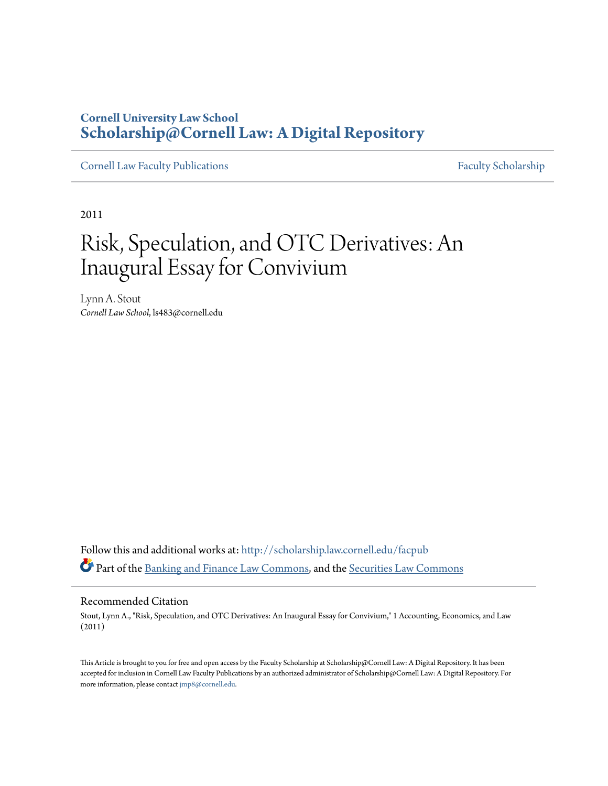#### **Cornell University Law School [Scholarship@Cornell Law: A Digital Repository](http://scholarship.law.cornell.edu?utm_source=scholarship.law.cornell.edu%2Ffacpub%2F1553&utm_medium=PDF&utm_campaign=PDFCoverPages)**

[Cornell Law Faculty Publications](http://scholarship.law.cornell.edu/facpub?utm_source=scholarship.law.cornell.edu%2Ffacpub%2F1553&utm_medium=PDF&utm_campaign=PDFCoverPages) [Faculty Scholarship](http://scholarship.law.cornell.edu/facsch?utm_source=scholarship.law.cornell.edu%2Ffacpub%2F1553&utm_medium=PDF&utm_campaign=PDFCoverPages)

2011

# Risk, Speculation, and OTC Derivatives: An Inaugural Essay for Convivium

Lynn A. Stout *Cornell Law School*, ls483@cornell.edu

Follow this and additional works at: [http://scholarship.law.cornell.edu/facpub](http://scholarship.law.cornell.edu/facpub?utm_source=scholarship.law.cornell.edu%2Ffacpub%2F1553&utm_medium=PDF&utm_campaign=PDFCoverPages) Part of the [Banking and Finance Law Commons](http://network.bepress.com/hgg/discipline/833?utm_source=scholarship.law.cornell.edu%2Ffacpub%2F1553&utm_medium=PDF&utm_campaign=PDFCoverPages), and the [Securities Law Commons](http://network.bepress.com/hgg/discipline/619?utm_source=scholarship.law.cornell.edu%2Ffacpub%2F1553&utm_medium=PDF&utm_campaign=PDFCoverPages)

#### Recommended Citation

Stout, Lynn A., "Risk, Speculation, and OTC Derivatives: An Inaugural Essay for Convivium," 1 Accounting, Economics, and Law (2011)

This Article is brought to you for free and open access by the Faculty Scholarship at Scholarship@Cornell Law: A Digital Repository. It has been accepted for inclusion in Cornell Law Faculty Publications by an authorized administrator of Scholarship@Cornell Law: A Digital Repository. For more information, please contact [jmp8@cornell.edu.](mailto:jmp8@cornell.edu)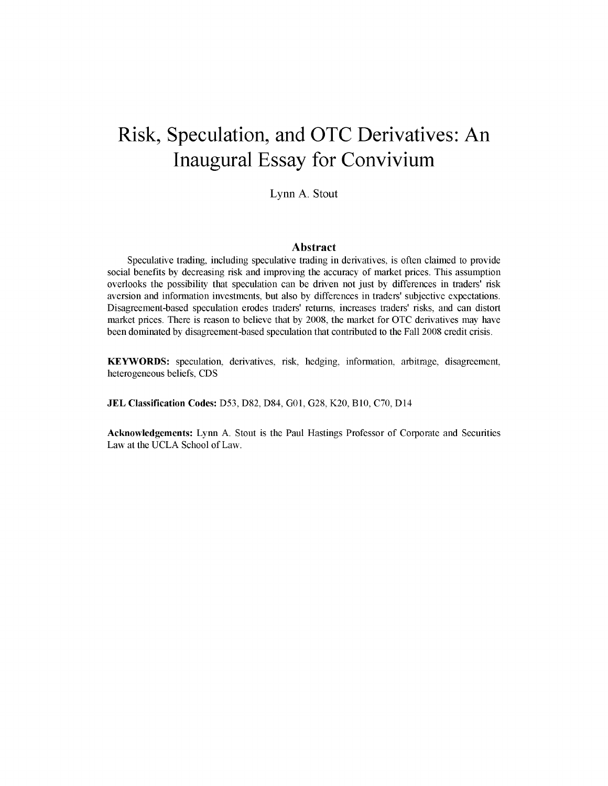# **Risk, Speculation, and OTC Derivatives: An Inaugural Essay for Convivium**

Lynn **A.** Stout

#### **Abstract**

Speculative trading, including speculative trading in derivatives, is often claimed to provide social benefits **by** decreasing risk and improving the accuracy of market prices. This assumption overlooks the possibility that speculation can be driven not just **by** differences in traders' risk aversion and information investments, but also **by** differences in traders' subjective expectations. Disagreement-based speculation erodes traders' returns, increases traders' risks, and can distort market prices. There is reason to believe that **by 2008,** the market for **OTC** derivatives may have been dominated **by** disagreement-based speculation that contributed to the Fall **2008** credit crisis.

**KEYWORDS:** speculation, derivatives, risk, hedging, information, arbitrage, disagreement, heterogeneous beliefs, **CDS**

**JEL Classification Codes:** *D53,* **D82,** D84, **G01, G28,** K20, B10, **C70,** D14

**Acknowledgements:** Lynn **A.** Stout is the **Paul** Hastings Professor of Corporate and Securities **Law at the UCLA School of Law.**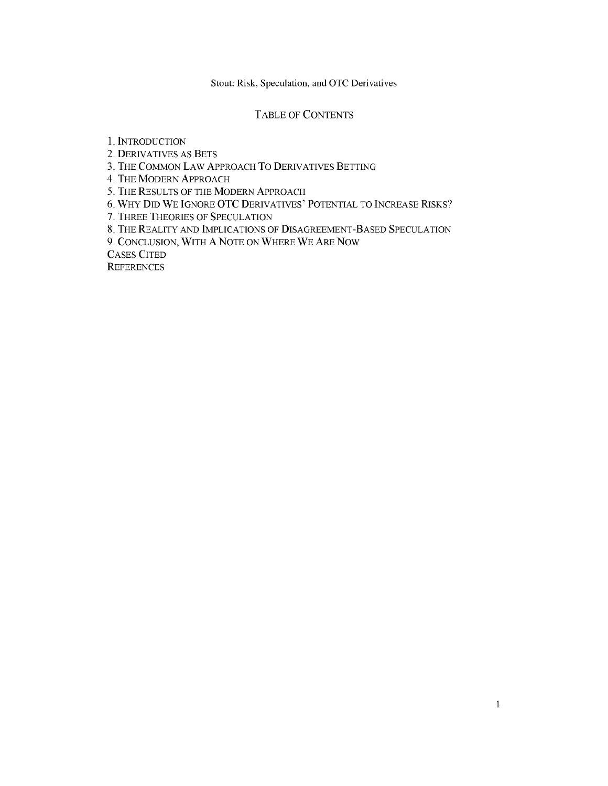Stout: Risk, Speculation, and **OTC** Derivatives

#### TABLE OF **CONTENTS**

**1. INTRODUCTION**

2. DERIVATIVES AS **BETS**

**3.** THE **COMMON** LAW APPROACH TO DERIVATIVES **BETTING**

4. THE MODERN APPROACH

**5.** THE **RESULTS** OF THE MODERN APPROACH

**6.** WHY **DID** WE IGNORE **OTC** DERIVATIVES' **POTENTIAL** TO **INCREASE** RISKS?

7. THREE THEORIES OF **SPECULATION**

**8. THE** REALITY **AND IMPLICATIONS** OF **DISAGREEMENT-BASED SPECULATION**

**9. CONCLUSION,** WITH **A NOTE ON** WHERE WE ARE Now

**CASES CITED**

**REFERENCES**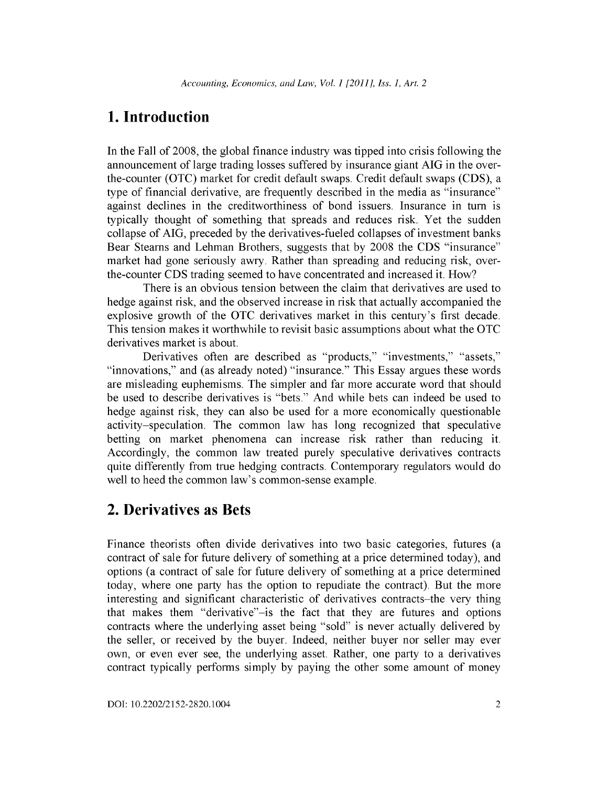## **1. Introduction**

In the Fall of **2008,** the global finance industry was tipped into crisis following the announcement of large trading losses suffered **by** insurance giant **AIG** in the overthe-counter **(OTC)** market for credit default swaps. Credit default swaps **(CDS),** a type of financial derivative, are frequently described in the media as "insurance" against declines in the creditworthiness of bond issuers. Insurance in turn is typically thought of something that spreads and reduces risk. Yet the sudden collapse of **AIG,** preceded **by** the derivatives-fueled collapses of investment banks Bear Stearns and Lehman Brothers, suggests that **by 2008** the **CDS** "insurance" market had gone seriously awry. Rather than spreading and reducing risk, overthe-counter **CDS** trading seemed to have concentrated and increased it. How?

There is an obvious tension between the claim that derivatives are used to hedge against risk, and the observed increase in risk that actually accompanied the explosive growth of the **OTC** derivatives market in this century's first decade. This tension makes it worthwhile to revisit basic assumptions about what the **OTC** derivatives market is about.

Derivatives often are described as "products," "investments," "assets," "innovations," and (as already noted) "insurance." This Essay argues these words are misleading euphemisms. The simpler and far more accurate word that should be used to describe derivatives is "bets." And while bets can indeed be used to hedge against risk, they can also be used for a more economically questionable activity-speculation. The common law has long recognized that speculative betting on market phenomena can increase risk rather than reducing it. Accordingly, the common law treated purely speculative derivatives contracts quite differently from true hedging contracts. Contemporary regulators would do well to heed the common law's common-sense example.

### 2. **Derivatives as Bets**

Finance theorists often divide derivatives into two basic categories, futures (a contract of sale for future delivery of something at a price determined today), and options (a contract of sale for future delivery of something at a price determined today, where one party has the option to repudiate the contract). But the more interesting and significant characteristic of derivatives contracts-the very thing that makes them "derivative"-is the fact that they are futures and options contracts where the underlying asset being "sold" is never actually delivered **by** the seller, or received **by** the buyer. Indeed, neither buyer nor seller may ever own, or even ever see, the underlying asset. Rather, one party to a derivatives contract typically performs simply **by** paying the other some amount of money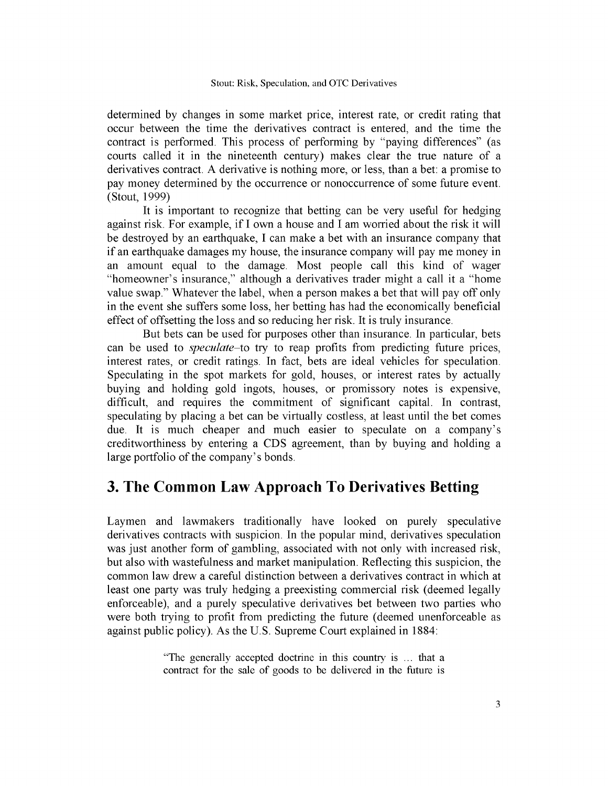determined **by** changes in some market price, interest rate, or credit rating that occur between the time the derivatives contract is entered, and the time the contract is performed. This process of performing **by** "paying differences" (as courts called it in the nineteenth century) makes clear the true nature of a derivatives contract. **A** derivative is nothing more, or less, than a bet: a promise to pay money determined **by** the occurrence or nonoccurrence of some future event. (Stout, **1999)**

It is important to recognize that betting can be very useful for hedging against risk. For example, if **I** own a house and **I** am worried about the risk it will be destroyed **by** an earthquake, **I** can make a bet with an insurance company that if an earthquake damages my house, the insurance company will pay me money in an amount equal to the damage. Most people call this kind of wager "homeowner's insurance," although a derivatives trader might a call it a "home value swap." Whatever the label, when a person makes a bet that will pay off only in the event she suffers some loss, her betting has had the economically beneficial effect of offsetting the loss and so reducing her risk. It is truly insurance.

But bets can be used for purposes other than insurance. In particular, bets can be used to *speculate-to* try to reap profits from predicting future prices, interest rates, or credit ratings. In fact, bets are ideal vehicles for speculation. Speculating in the spot markets for gold, houses, or interest rates **by** actually buying and holding gold ingots, houses, or promissory notes is expensive, difficult, and requires the commitment of significant capital. In contrast, speculating **by** placing a bet can be virtually costless, at least until the bet comes due. It is much cheaper and much easier to speculate on a company's creditworthiness **by** entering a **CDS** agreement, than **by** buying and holding a large portfolio of the company's bonds.

# **3. The Common Law Approach To Derivatives Betting**

Laymen and lawmakers traditionally have looked on purely speculative derivatives contracts with suspicion. In the popular mind, derivatives speculation was just another form of gambling, associated with not only with increased risk, but also with wastefulness and market manipulation. Reflecting this suspicion, the common law drew a careful distinction between a derivatives contract in which at least one party was truly hedging a preexisting commercial risk (deemed legally enforceable), and a purely speculative derivatives bet between two parties who were both trying to profit from predicting the future (deemed unenforceable as against public policy). As the **U.S.** Supreme Court explained in **1884:**

> "The generally accepted doctrine in this country is **...** that a contract for the sale of goods to be delivered in the future **is**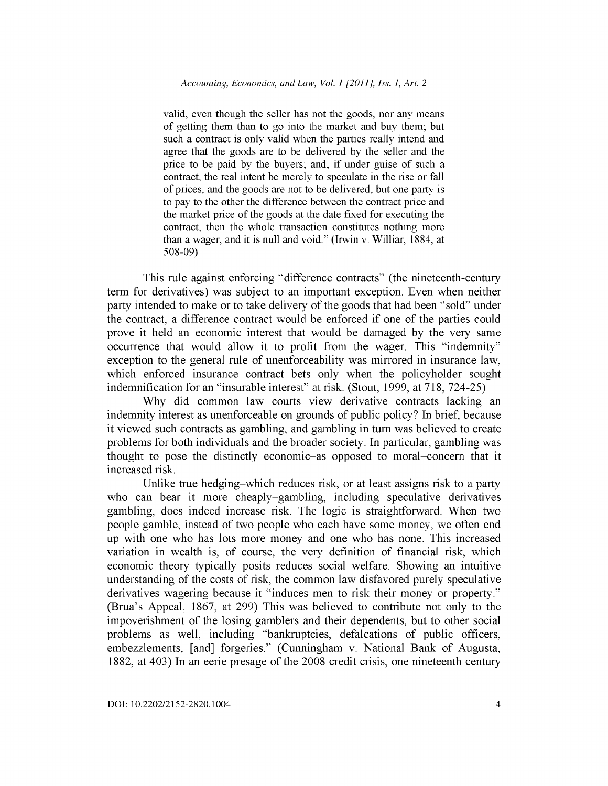valid, even though the seller has not the goods, nor any means of getting them than to go into the market and buy them; but such a contract is only valid when the parties really intend and agree that the goods are to be delivered **by** the seller and the price to be paid **by** the buyers; and, **if** under guise of such a contract, the real intent be merely to speculate in the rise or fall of prices, and the goods are not to be delivered, but one party **is** to pay to the other the difference between the contract price and the market price of the goods at the date fixed for executing the contract, then the whole transaction constitutes nothing more than a wager, and it is null and void." (Irwin v. Williar, **1884,** at **508-09)**

This rule against enforcing "difference contracts" (the nineteenth-century term for derivatives) was subject to an important exception. Even when neither party intended to make or to take delivery of the goods that had been "sold" under the contract, a difference contract would be enforced if one of the parties could prove it held an economic interest that would be damaged **by** the very same occurrence that would allow it to profit from the wager. This "indemnity" exception to the general rule of unenforceability was mirrored in insurance law, which enforced insurance contract bets only when the policyholder sought indemnification for an "insurable interest" at risk. (Stout, **1999,** at **718,** 724-25)

**Why** did common law courts view derivative contracts lacking an indemnity interest as unenforceable on grounds of public policy? In brief, because it viewed such contracts as gambling, and gambling in turn was believed to create problems for both individuals and the broader society. In particular, gambling was thought to pose the distinctly economic-as opposed to moral-concern that it increased risk.

Unlike true hedging-which reduces risk, or at least assigns risk to a party who can bear it more cheaply-gambling, including speculative derivatives gambling, does indeed increase risk. The logic is straightforward. When two people gamble, instead of two people who each have some money, we often end up with one who has lots more money and one who has none. This increased variation in wealth is, of course, the very definition of financial risk, which economic theory typically posits reduces social welfare. Showing an intuitive understanding of the costs of risk, the common law disfavored purely speculative derivatives wagering because it "induces men to risk their money or property." (Brua's Appeal, **1867,** at **299)** This was believed to contribute not only to the impoverishment of the losing gamblers and their dependents, but to other social problems as well, including "bankruptcies, defalcations of public officers, embezzlements, [and] forgeries." (Cunningham v. National Bank of Augusta, **1882,** at 403) In an eerie presage of the **2008** credit crisis, one nineteenth century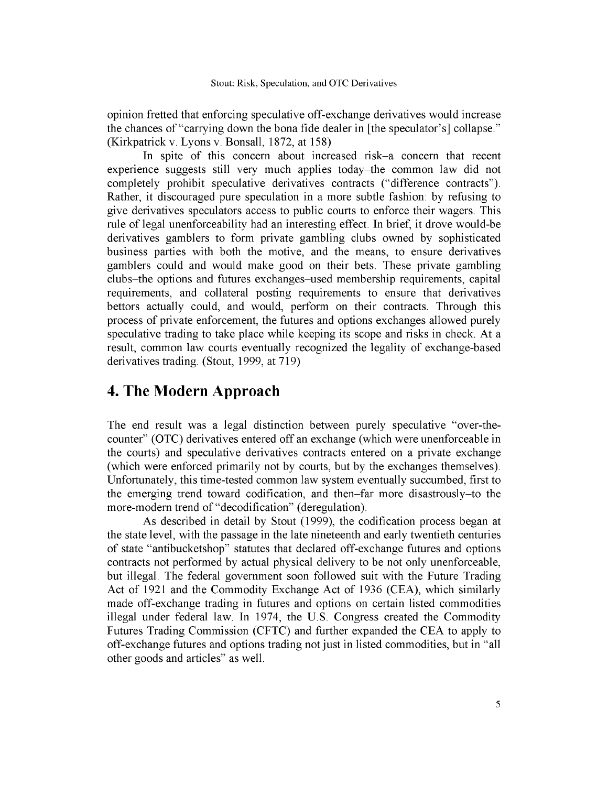opinion fretted that enforcing speculative off-exchange derivatives would increase the chances of "carrying down the bona fide dealer in [the speculator's] collapse." (Kirkpatrick v. Lyons v. Bonsall, **1872,** at **158)**

In spite of this concern about increased risk-a concern that recent experience suggests still very much applies today-the common law did not completely prohibit speculative derivatives contracts ("difference contracts"). Rather, it discouraged pure speculation in a more subtle fashion: **by** refusing to give derivatives speculators access to public courts to enforce their wagers. This rule of legal unenforceability had an interesting effect. In brief, it drove would-be derivatives gamblers to form private gambling clubs owned **by** sophisticated business parties with both the motive, and the means, to ensure derivatives gamblers could and would make good on their bets. These private gambling clubs-the options and futures exchanges-used membership requirements, capital requirements, and collateral posting requirements to ensure that derivatives bettors actually could, and would, perform on their contracts. Through this process of private enforcement, the futures and options exchanges allowed purely speculative trading to take place while keeping its scope and risks in check. At a result, common law courts eventually recognized the legality of exchange-based derivatives trading. (Stout, **1999,** at **719)**

## **4. The Modern Approach**

The end result was a legal distinction between purely speculative "over-thecounter" **(OTC)** derivatives entered off an exchange (which were unenforceable in the courts) and speculative derivatives contracts entered on a private exchange (which were enforced primarily not **by** courts, but **by** the exchanges themselves). Unfortunately, this time-tested common law system eventually succumbed, first to the emerging trend toward codification, and then-far more disastrously-to the more-modern trend of "decodification" (deregulation).

As described in detail **by** Stout **(1999),** the codification process began at the state level, with the passage in the late nineteenth and early twentieth centuries of state "antibucketshop" statutes that declared off-exchange futures and options contracts not performed **by** actual physical delivery to be not only unenforceable, but illegal. The federal government soon followed suit with the Future Trading Act of **1921** and the Commodity Exchange Act of **1936 (CEA),** which similarly made off-exchange trading in futures and options on certain listed commodities illegal under federal law. In 1974, the **U.S.** Congress created the Commodity Futures Trading Commission **(CFTC)** and further expanded the **CEA** to apply to off-exchange futures and options trading not just in listed commodities, but in "all other goods and articles" as well.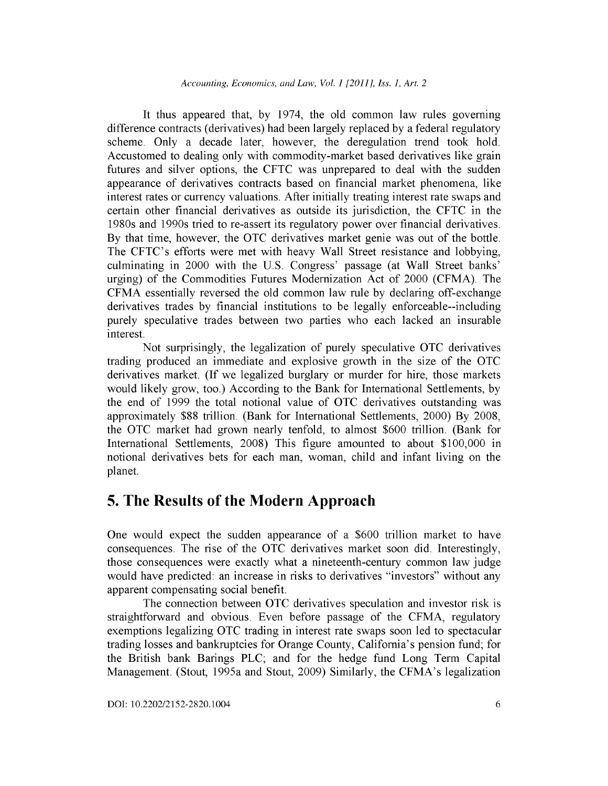It thus appeared that, **by** 1974, the old common law rules governing difference contracts (derivatives) had been largely replaced **by** a federal regulatory scheme. Only a decade later, however, the deregulation trend took hold. Accustomed to dealing only with commodity-market based derivatives like grain futures and silver options, the **CFTC** was unprepared to deal with the sudden appearance of derivatives contracts based on financial market phenomena, like interest rates or currency valuations. After initially treating interest rate swaps and certain other financial derivatives as outside its jurisdiction, the **CFTC** in the 1980s and 1990s tried to re-assert its regulatory power over financial derivatives. **By** that time, however, the **OTC** derivatives market genie was out of the bottle. The CFTC's efforts were met with heavy Wall Street resistance and lobbying, culminating in 2000 with the **U.S.** Congress' passage (at Wall Street banks' urging) of the Commodities Futures Modernization Act of 2000 **(CFMA).** The **CFMA** essentially reversed the old common law rule **by** declaring off-exchange derivatives trades **by** financial institutions to be legally enforceable--including purely speculative trades between two parties who each lacked an insurable interest.

Not surprisingly, the legalization of purely speculative **OTC** derivatives trading produced an immediate and explosive growth in the size of the **OTC** derivatives market. **(If** we legalized burglary or murder for hire, those markets would likely grow, too.) According to the Bank for International Settlements, **by** the end of **1999** the total notional value of **OTC** derivatives outstanding was approximately **\$88** trillion. (Bank for International Settlements, 2000) **By 2008,** the **OTC** market had grown nearly tenfold, to almost **\$600** trillion. (Bank for International Settlements, **2008)** This figure amounted to about **\$100,000** in notional derivatives bets for each man, woman, child and infant living on the planet.

#### **5. The Results of the Modern Approach**

One would expect the sudden appearance of a **\$600** trillion market to have consequences. The rise of the **OTC** derivatives market soon did. Interestingly, those consequences were exactly what a nineteenth-century common law judge would have predicted: an increase in risks to derivatives "investors" without any apparent compensating social benefit.

The connection between **OTC** derivatives speculation and investor risk is straightforward and obvious. Even before passage of the **CFMA,** regulatory exemptions legalizing **OTC** trading in interest rate swaps soon led to spectacular trading losses and bankruptcies for Orange County, California's pension fund; for the British bank Barings PLC; and for the hedge fund Long Term Capital Management. (Stout, 1995a and Stout, **2009)** Similarly, the CFMA's legalization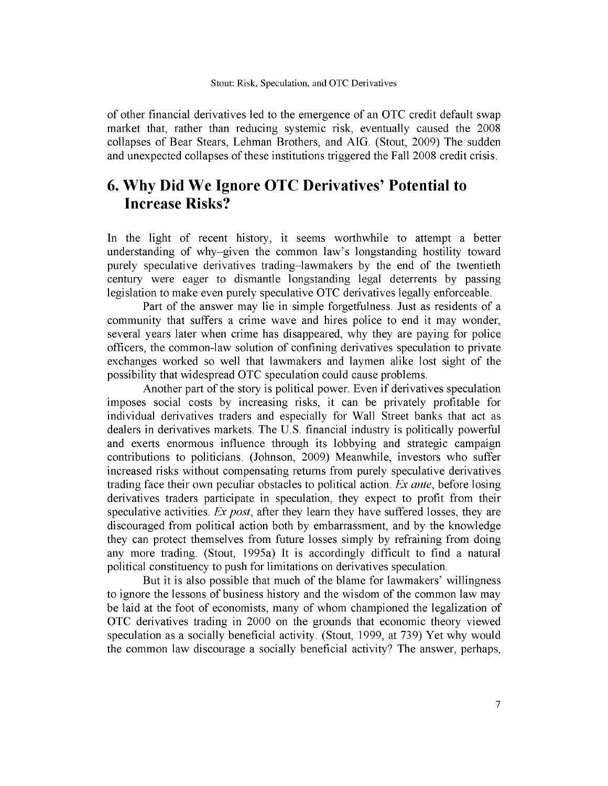of other financial derivatives led to the emergence of an **OTC** credit default swap market that, rather than reducing systemic risk, eventually caused the **2008** collapses of Bear Stears, Lehman Brothers, and **AIG.** (Stout, **2009)** The sudden and unexpected collapses of these institutions triggered the Fall **2008** credit crisis.

# **6. Why Did We Ignore OTC Derivatives' Potential to Increase Risks?**

In the light of recent history, it seems worthwhile to attempt a better understanding of why-given the common law's longstanding hostility toward purely speculative derivatives trading-lawmakers **by** the end of the twentieth century were eager to dismantle longstanding legal deterrents **by** passing legislation to make even purely speculative **OTC** derivatives legally enforceable.

Part of the answer may lie in simple forgetfulness. Just as residents of a community that suffers a crime wave and hires police to end it may wonder, several years later when crime has disappeared, why they are paying for police officers, the common-law solution of confining derivatives speculation to private exchanges worked so well that lawmakers and laymen alike lost sight of the possibility that widespread **OTC** speculation could cause problems.

Another part of the story is political power. Even if derivatives speculation imposes social costs **by** increasing risks, it can be privately profitable for individual derivatives traders and especially for Wall Street banks that act as dealers in derivatives markets. The **U.S.** financial industry is politically powerful and exerts enormous influence through its lobbying and strategic campaign contributions to politicians. (Johnson, **2009)** Meanwhile, investors who suffer increased risks without compensating returns from purely speculative derivatives trading face their own peculiar obstacles to political action. *Ex ante,* before losing derivatives traders participate in speculation, they expect to profit from their speculative activities. *Ex post,* after they learn they have suffered losses, they are discouraged from political action both **by** embarrassment, and **by** the knowledge they can protect themselves from future losses simply **by** refraining from doing any more trading. (Stout, 1995a) It is accordingly difficult to find a natural political constituency to push for limitations on derivatives speculation.

But it is also possible that much of the blame for lawmakers' willingness to ignore the lessons of business history and the wisdom of the common law may be laid at the foot of economists, many of whom championed the legalization of **OTC** derivatives trading in 2000 on the grounds that economic theory viewed speculation as a socially beneficial activity. (Stout, **1999,** at **739)** Yet why would the common law discourage a socially beneficial activity? The answer, perhaps,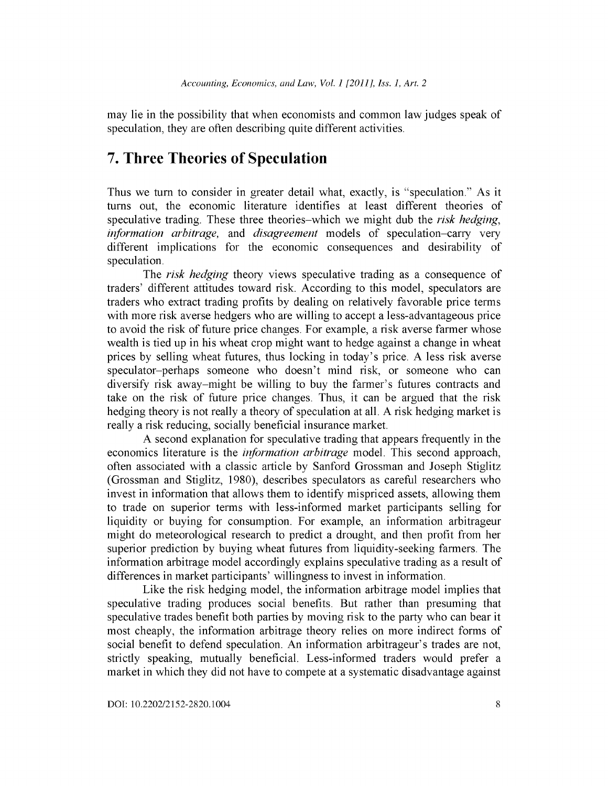may lie in the possibility that when economists and common law judges speak of speculation, they are often describing quite different activities.

#### **7. Three Theories of Speculation**

Thus we turn to consider in greater detail what, exactly, is "speculation." As it turns out, the economic literature identifies at least different theories of speculative trading. These three theories-which we might dub the *risk hedging, information arbitrage, and disagreement* models of speculation-carry very different implications for the economic consequences and desirability of speculation.

*The risk hedging* theory views speculative trading as a consequence of traders' different attitudes toward risk. According to this model, speculators are traders who extract trading profits **by** dealing on relatively favorable price terms with more risk averse hedgers who are willing to accept a less-advantageous price to avoid the risk of future price changes. For example, a risk averse farmer whose wealth is tied up in his wheat crop might want to hedge against a change in wheat prices **by** selling wheat futures, thus locking in today's price. **A** less risk averse speculator-perhaps someone who doesn't mind risk, or someone who can diversify risk away-might be willing to buy the farmer's futures contracts and take on the risk of future price changes. Thus, it can be argued that the risk hedging theory is not really a theory of speculation at all. **A** risk hedging market is really a risk reducing, socially beneficial insurance market.

**A** second explanation for speculative trading that appears frequently in the economics literature is the *information arbitrage* model. This second approach, often associated with a classic article **by** Sanford Grossman and Joseph Stiglitz (Grossman and Stiglitz, **1980),** describes speculators as careful researchers who invest in information that allows them to identify mispriced assets, allowing them to trade on superior terms with less-informed market participants selling for liquidity or buying for consumption. For example, an information arbitrageur might do meteorological research to predict a drought, and then profit from her superior prediction **by** buying wheat futures from liquidity-seeking farmers. The information arbitrage model accordingly explains speculative trading as a result of differences in market participants' willingness to invest in information.

Like the risk hedging model, the information arbitrage model implies that speculative trading produces social benefits. But rather than presuming that speculative trades benefit both parties **by** moving risk to the party who can bear it most cheaply, the information arbitrage theory relies on more indirect forms of social benefit to defend speculation. An information arbitrageur's trades are not, strictly speaking, mutually beneficial. Less-informed traders would prefer a market in which they did not have to compete at a systematic disadvantage against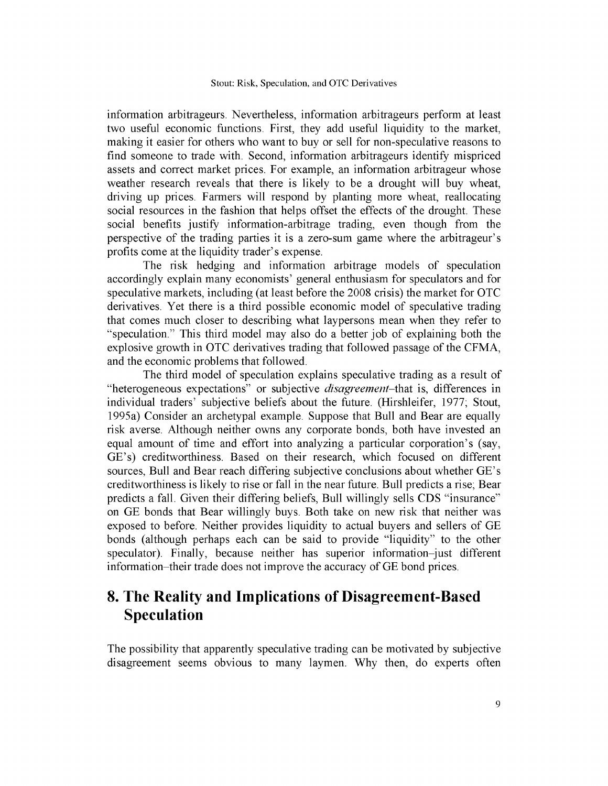information arbitrageurs. Nevertheless, information arbitrageurs perform at least two useful economic functions. First, they add useful liquidity to the market, making it easier for others who want to buy or sell for non-speculative reasons to find someone to trade with. Second, information arbitrageurs identify mispriced assets and correct market prices. For example, an information arbitrageur whose weather research reveals that there is likely to be a drought will buy wheat, driving up prices. Farmers will respond **by** planting more wheat, reallocating social resources in the fashion that helps offset the effects of the drought. These social benefits justify information-arbitrage trading, even though from the perspective of the trading parties it is a zero-sum game where the arbitrageur's profits come at the liquidity trader's expense.

The risk hedging and information arbitrage models of speculation accordingly explain many economists' general enthusiasm for speculators and for speculative markets, including (at least before the **2008** crisis) the market for **OTC** derivatives. Yet there is a third possible economic model of speculative trading that comes much closer to describing what laypersons mean when they refer to "speculation." This third model may also do a better **job** of explaining both the explosive growth in **OTC** derivatives trading that followed passage of the **CFMA,** and the economic problems that followed.

The third model of speculation explains speculative trading as a result of "heterogeneous expectations" or subjective *disagreement-that* is, differences in individual traders' subjective beliefs about the future. (Hirshleifer, **1977;** Stout, 1995a) Consider an archetypal example. Suppose that Bull and Bear are equally risk averse. Although neither owns any corporate bonds, both have invested an equal amount of time and effort into analyzing a particular corporation's (say, GE's) creditworthiness. Based on their research, which focused on different sources, Bull and Bear reach differing subjective conclusions about whether GE's creditworthiness is likely to rise or fall in the near future. Bull predicts a rise; Bear predicts a fall. Given their differing beliefs, Bull willingly sells **CDS** "insurance" on **GE** bonds that Bear willingly buys. Both take on new risk that neither was exposed to before. Neither provides liquidity to actual buyers and sellers of **GE** bonds (although perhaps each can be said to provide "liquidity" to the other speculator). Finally, because neither has superior information-just different information-their trade does not improve the accuracy of **GE** bond prices.

# **8. The Reality and Implications of Disagreement-Based Speculation**

The possibility that apparently speculative trading can be motivated **by** subjective disagreement seems obvious to many laymen. **Why** then, do experts often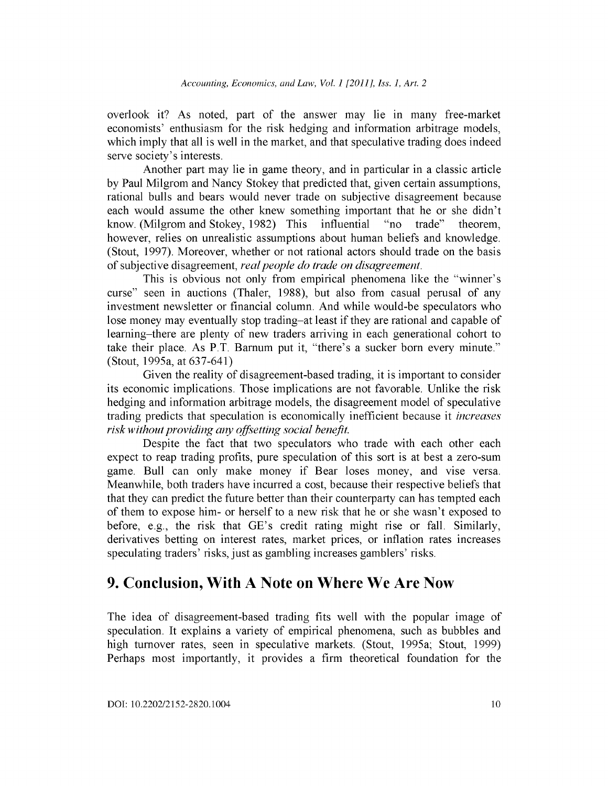overlook *it?* As noted, part of the answer may lie in many free-market economists' enthusiasm for the risk hedging and information arbitrage models, which imply that all is well in the market, and that speculative trading does indeed serve society's interests.

Another part may lie in game theory, and in particular in a classic article **by** Paul Milgrom and Nancy Stokey that predicted that, given certain assumptions, rational bulls and bears would never trade on subjective disagreement because each would assume the other knew something important that he or she didn't know. (Milgrom and Stokey, **1982)** This influential "no trade" theorem, however, relies on unrealistic assumptions about human beliefs and knowledge. (Stout, **1997).** Moreover, whether or not rational actors should trade on the basis of subjective disagreement, *real people do trade on disagreement.*

This is obvious not only from empirical phenomena like the "winner's curse" seen in auctions (Thaler, **1988),** but also from casual perusal of any investment newsletter or financial column. And while would-be speculators who lose money may eventually stop trading-at least if they are rational and capable of learning-there are plenty of new traders arriving in each generational cohort to take their place. As P.T. Barnum put it, "there's a sucker born every minute." (Stout, 1995a, at **637-641)**

Given the reality of disagreement-based trading, it is important to consider its economic implications. Those implications are not favorable. Unlike the risk hedging and information arbitrage models, the disagreement model of speculative trading predicts that speculation is economically inefficient because it *increases risk without providing any offsetting social benefit.*

Despite the fact that two speculators who trade with each other each expect to reap trading profits, pure speculation of this sort is at best a zero-sum game. Bull can only make money if Bear loses money, and vise versa. Meanwhile, both traders have incurred a cost, because their respective beliefs that that they can predict the future better than their counterparty can has tempted each of them to expose him- or herself to a new risk that he or she wasn't exposed to before, e.g., the risk that GE's credit rating might rise or fall. Similarly, derivatives betting on interest rates, market prices, or inflation rates increases speculating traders' risks, just as gambling increases gamblers' risks.

### **9. Conclusion, With A Note on Where We Are** Now

The idea of disagreement-based trading fits well with the popular image of speculation. It explains a variety of empirical phenomena, such as bubbles and high turnover rates, seen in speculative markets. (Stout, 1995a; Stout, **1999)** Perhaps most importantly, it provides a firm theoretical foundation for the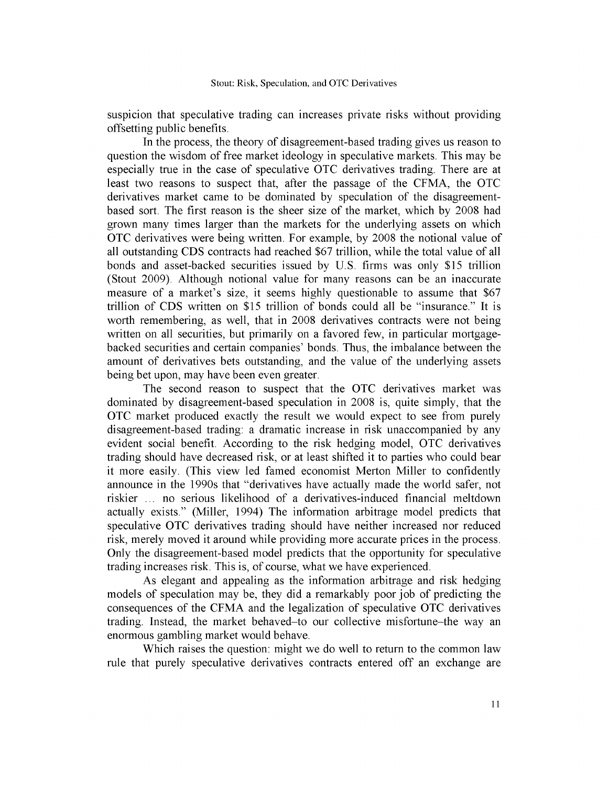suspicion that speculative trading can increases private risks without providing offsetting public benefits.

In the process, the theory of disagreement-based trading gives us reason to question the wisdom of free market ideology in speculative markets. This may be especially true in the case of speculative **OTC** derivatives trading. There are at least two reasons to suspect that, after the passage of the **CFMA,** the **OTC** derivatives market came to be dominated **by** speculation of the disagreementbased sort. The first reason is the sheer size of the market, which **by 2008** had grown many times larger than the markets for the underlying assets on which **OTC** derivatives were being written. For example, **by 2008** the notional value of all outstanding **CDS** contracts had reached **\$67** trillion, while the total value of all bonds and asset-backed securities issued **by U.S.** firms was only **\$15** trillion (Stout **2009).** Although notional value for many reasons can be an inaccurate measure of a market's size, it seems **highly** questionable to assume that **\$67** trillion of **CDS** written on **\$15** trillion of bonds could all be "insurance." It is worth remembering, as well, that in **2008** derivatives contracts were not being written on all securities, but primarily on a favored few, in particular mortgagebacked securities and certain companies' bonds. Thus, the imbalance between the amount of derivatives bets outstanding, and the value of the underlying assets being bet upon, may have been even greater.

The second reason to suspect that the **OTC** derivatives market was dominated **by** disagreement-based speculation in **2008** is, quite simply, that the **OTC** market produced exactly the result we would expect to see from purely disagreement-based trading: a dramatic increase in risk unaccompanied **by** any evident social benefit. According to the risk hedging model, **OTC** derivatives trading should have decreased risk, or at least shifted it to parties who could bear it more easily. (This view led famed economist Merton Miller to confidently announce in the 1990s that "derivatives have actually made the world safer, not riskier **...** no serious likelihood of a derivatives-induced financial meltdown actually exists." (Miller, 1994) The information arbitrage model predicts that speculative **OTC** derivatives trading should have neither increased nor reduced risk, merely moved it around while providing more accurate prices in the process. Only the disagreement-based model predicts that the opportunity for speculative trading increases risk. This is, of course, what we have experienced.

As elegant and appealing as the information arbitrage and risk hedging models of speculation may be, they did a remarkably poor **job** of predicting the consequences of the **CFMA** and the legalization of speculative **OTC** derivatives trading. Instead, the market behaved-to our collective misfortune-the way an enormous gambling market would behave.

Which raises the question: might we do well to return to the common law rule that purely speculative derivatives contracts entered off an exchange are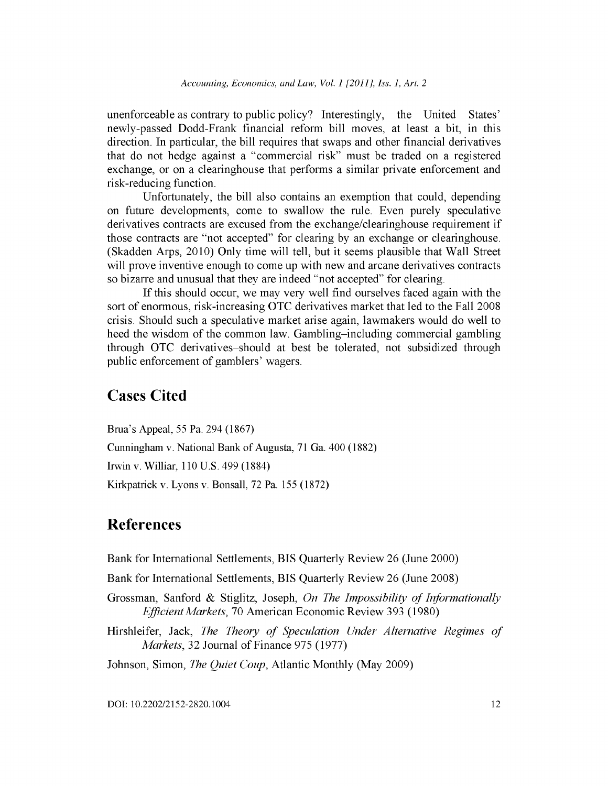unenforceable as contrary to public policy? Interestingly, the United States' newly-passed Dodd-Frank financial reform bill moves, at least a bit, in this direction. In particular, the bill requires that swaps and other financial derivatives that do not hedge against a "commercial risk" must be traded on a registered exchange, or on a clearinghouse that performs a similar private enforcement and risk-reducing function.

Unfortunately, the bill also contains an exemption that could, depending on future developments, come to swallow the rule. Even purely speculative derivatives contracts are excused from the exchange/clearinghouse requirement if those contracts are "not accepted" for clearing **by** an exchange or clearinghouse. (Skadden Arps, 2010) Only time will tell, but it seems plausible that Wall Street will prove inventive enough to come up with new and arcane derivatives contracts so bizarre and unusual that they are indeed "not accepted" for clearing.

**If** this should occur, we may very well find ourselves faced again with the sort of enormous, risk-increasing **OTC** derivatives market that led to the Fall **2008** crisis. Should such a speculative market arise again, lawmakers would do well to heed the wisdom of the common law. Gambling-including commercial gambling through **OTC** derivatives-should at best be tolerated, not subsidized through public enforcement of gamblers' wagers.

#### **Cases Cited**

Brua's Appeal, *55* Pa. 294 **(1867)** Cunningham v. National Bank of Augusta, **71** Ga. 400 **(1882)** Irwin v. Williar, **110 U.S.** 499 **(1884)** Kirkpatrick v. Lyons v. Bonsall, **72** Pa. *155* **(1872)**

#### **References**

Bank for International Settlements, BIS Quarterly Review **26** (June 2000)

Bank for International Settlements, BIS Quarterly Review **26** (June **2008)**

- Grossman, Sanford **&** Stiglitz, Joseph, *On The Impossibility of Informationally Efficient Markets,* **70** American Economic Review **393 (1980)**
- Hirshleifer, Jack, *The Theory of Speculation Under Alternative Regimes of Markets,* **32** Journal of Finance **975 (1977)**
- Johnson, Simon, *The Quiet Coup,* Atlantic Monthly (May **2009)**

**DOI:** 10.2202/2152-2820.1004 12